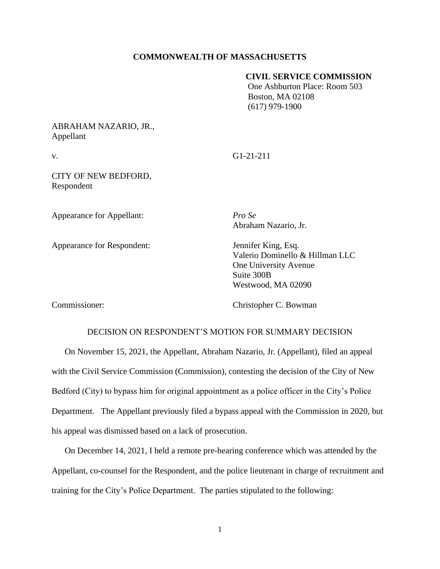## **COMMONWEALTH OF MASSACHUSETTS**

### **CIVIL SERVICE COMMISSION**

 One Ashburton Place: Room 503 Boston, MA 02108 (617) 979-1900

# ABRAHAM NAZARIO, JR., Appellant

v. G1-21-211

CITY OF NEW BEDFORD, Respondent

Appearance for Appellant: *Pro Se*

Appearance for Respondent: Jennifer King, Esq.

Abraham Nazario, Jr.

Valerio Dominello & Hillman LLC One University Avenue Suite 300B Westwood, MA 02090

Commissioner: Christopher C. Bowman

# DECISION ON RESPONDENT'S MOTION FOR SUMMARY DECISION

On November 15, 2021, the Appellant, Abraham Nazario, Jr. (Appellant), filed an appeal with the Civil Service Commission (Commission), contesting the decision of the City of New Bedford (City) to bypass him for original appointment as a police officer in the City's Police Department. The Appellant previously filed a bypass appeal with the Commission in 2020, but his appeal was dismissed based on a lack of prosecution.

On December 14, 2021, I held a remote pre-hearing conference which was attended by the Appellant, co-counsel for the Respondent, and the police lieutenant in charge of recruitment and training for the City's Police Department. The parties stipulated to the following: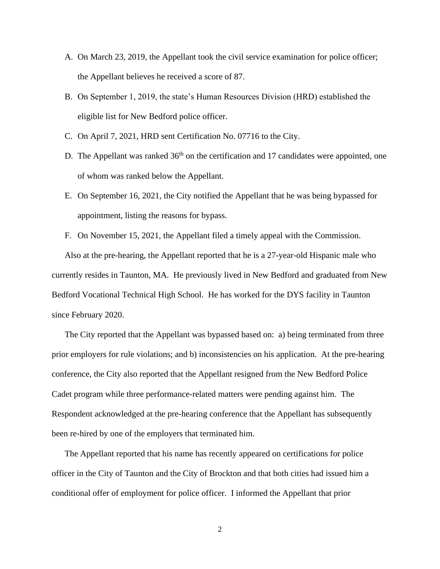- A. On March 23, 2019, the Appellant took the civil service examination for police officer; the Appellant believes he received a score of 87.
- B. On September 1, 2019, the state's Human Resources Division (HRD) established the eligible list for New Bedford police officer.
- C. On April 7, 2021, HRD sent Certification No. 07716 to the City.
- D. The Appellant was ranked  $36<sup>th</sup>$  on the certification and 17 candidates were appointed, one of whom was ranked below the Appellant.
- E. On September 16, 2021, the City notified the Appellant that he was being bypassed for appointment, listing the reasons for bypass.
- F. On November 15, 2021, the Appellant filed a timely appeal with the Commission.

Also at the pre-hearing, the Appellant reported that he is a 27-year-old Hispanic male who currently resides in Taunton, MA. He previously lived in New Bedford and graduated from New Bedford Vocational Technical High School. He has worked for the DYS facility in Taunton since February 2020.

The City reported that the Appellant was bypassed based on: a) being terminated from three prior employers for rule violations; and b) inconsistencies on his application. At the pre-hearing conference, the City also reported that the Appellant resigned from the New Bedford Police Cadet program while three performance-related matters were pending against him. The Respondent acknowledged at the pre-hearing conference that the Appellant has subsequently been re-hired by one of the employers that terminated him.

The Appellant reported that his name has recently appeared on certifications for police officer in the City of Taunton and the City of Brockton and that both cities had issued him a conditional offer of employment for police officer. I informed the Appellant that prior

2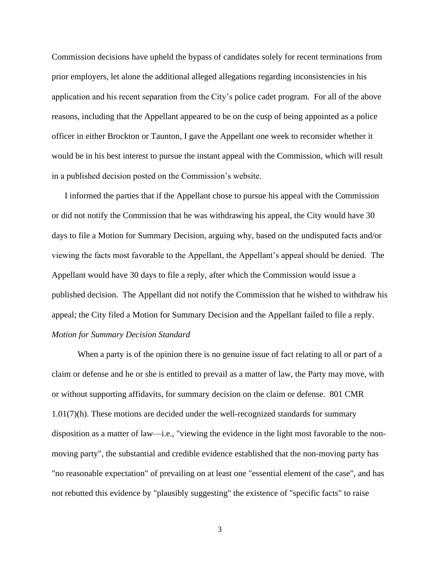Commission decisions have upheld the bypass of candidates solely for recent terminations from prior employers, let alone the additional alleged allegations regarding inconsistencies in his application and his recent separation from the City's police cadet program. For all of the above reasons, including that the Appellant appeared to be on the cusp of being appointed as a police officer in either Brockton or Taunton, I gave the Appellant one week to reconsider whether it would be in his best interest to pursue the instant appeal with the Commission, which will result in a published decision posted on the Commission's website.

I informed the parties that if the Appellant chose to pursue his appeal with the Commission or did not notify the Commission that he was withdrawing his appeal, the City would have 30 days to file a Motion for Summary Decision, arguing why, based on the undisputed facts and/or viewing the facts most favorable to the Appellant, the Appellant's appeal should be denied. The Appellant would have 30 days to file a reply, after which the Commission would issue a published decision. The Appellant did not notify the Commission that he wished to withdraw his appeal; the City filed a Motion for Summary Decision and the Appellant failed to file a reply. *Motion for Summary Decision Standard*

When a party is of the opinion there is no genuine issue of fact relating to all or part of a claim or defense and he or she is entitled to prevail as a matter of law, the Party may move, with or without supporting affidavits, for summary decision on the claim or defense. 801 CMR 1.01(7)(h). These motions are decided under the well-recognized standards for summary disposition as a matter of law—i.e., "viewing the evidence in the light most favorable to the nonmoving party", the substantial and credible evidence established that the non-moving party has "no reasonable expectation" of prevailing on at least one "essential element of the case", and has not rebutted this evidence by "plausibly suggesting" the existence of "specific facts" to raise

3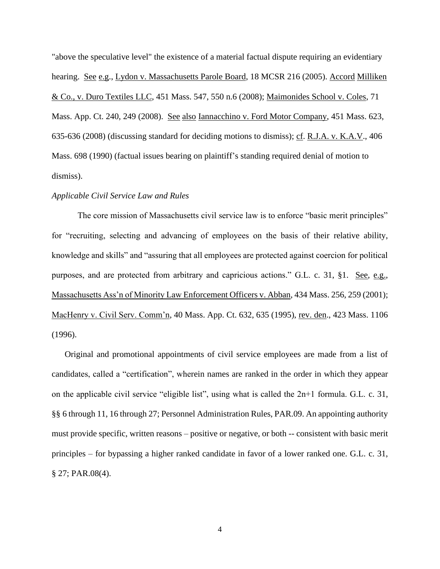"above the speculative level" the existence of a material factual dispute requiring an evidentiary hearing. See e.g., Lydon v. Massachusetts Parole Board, 18 MCSR 216 (2005). Accord Milliken & Co., v. Duro Textiles LLC, [451 Mass. 547,](http://sll.gvpi.net/document.php?field=jd&value=sjcapp:451_mass._547) 550 n.6 (2008); Maimonides School v. Coles, 71 Mass. App. Ct. 240, 249 (2008). See also Iannacchino v. Ford Motor Company, [451 Mass. 623,](http://sll.gvpi.net/document.php?field=jd&value=sjcapp:451_mass._623) 635-636 (2008) (discussing standard for deciding motions to dismiss); cf. R.J.A. v. K.A.V., [406](http://sll.gvpi.net/document.php?field=jd&value=sjcapp:406_mass._698)  [Mass. 698](http://sll.gvpi.net/document.php?field=jd&value=sjcapp:406_mass._698) (1990) (factual issues bearing on plaintiff's standing required denial of motion to dismiss).

### *Applicable Civil Service Law and Rules*

The core mission of Massachusetts civil service law is to enforce "basic merit principles" for "recruiting, selecting and advancing of employees on the basis of their relative ability, knowledge and skills" and "assuring that all employees are protected against coercion for political purposes, and are protected from arbitrary and capricious actions." G.L. c. 31, §1. See, e.g., Massachusetts Ass'n of Minority Law Enforcement Officers v. Abban, 434 Mass. 256, 259 (2001); MacHenry v. Civil Serv. Comm'n, 40 Mass. App. Ct. 632, 635 (1995), rev. den., 423 Mass. 1106 (1996).

Original and promotional appointments of civil service employees are made from a list of candidates, called a "certification", wherein names are ranked in the order in which they appear on the applicable civil service "eligible list", using what is called the 2n+1 formula. G.L. c. 31, §§ 6 through 11, 16 through 27; Personnel Administration Rules, PAR.09. An appointing authority must provide specific, written reasons – positive or negative, or both -- consistent with basic merit principles – for bypassing a higher ranked candidate in favor of a lower ranked one. G.L. c. 31, § 27; PAR.08(4).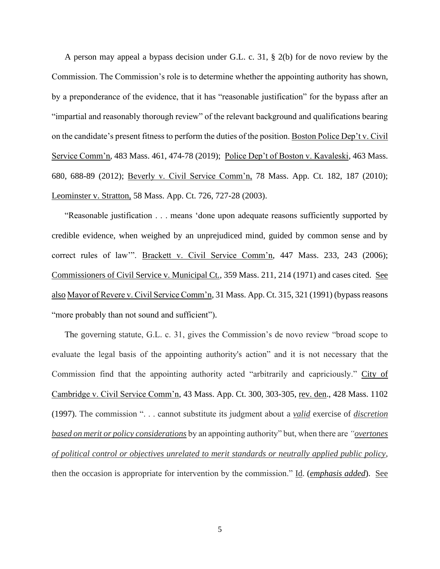A person may appeal a bypass decision under G.L. c. 31, § 2(b) for de novo review by the Commission. The Commission's role is to determine whether the appointing authority has shown, by a preponderance of the evidence, that it has "reasonable justification" for the bypass after an "impartial and reasonably thorough review" of the relevant background and qualifications bearing on the candidate's present fitness to perform the duties of the position. Boston Police Dep't v. Civil Service Comm'n, 483 Mass. 461, 474-78 (2019); Police Dep't of Boston v. Kavaleski, 463 Mass. 680, 688-89 (2012); Beverly v. Civil Service Comm'n, 78 Mass. App. Ct. 182, 187 (2010); Leominster v. Stratton, 58 Mass. App. Ct. 726, 727-28 (2003).

"Reasonable justification . . . means 'done upon adequate reasons sufficiently supported by credible evidence, when weighed by an unprejudiced mind, guided by common sense and by correct rules of law". Brackett v. Civil Service Comm'n, 447 Mass. 233, 243 (2006); Commissioners of Civil Service v. Municipal Ct., 359 Mass. 211, 214 (1971) and cases cited. See also Mayor of Revere v. Civil Service Comm'n, 31 Mass. App. Ct. 315, 321 (1991) (bypass reasons "more probably than not sound and sufficient").

The governing statute, G.L. c. 31, gives the Commission's de novo review "broad scope to evaluate the legal basis of the appointing authority's action" and it is not necessary that the Commission find that the appointing authority acted "arbitrarily and capriciously." City of Cambridge v. Civil Service Comm'n, 43 Mass. App. Ct. 300, 303-305, rev. den., 428 Mass. 1102 (1997). The commission ". . . cannot substitute its judgment about a *valid* exercise of *discretion based on merit or policy considerations* by an appointing authority" but, when there are *"overtones of political control or objectives unrelated to merit standards or neutrally applied public policy*, then the occasion is appropriate for intervention by the commission." Id. (*emphasis added*). See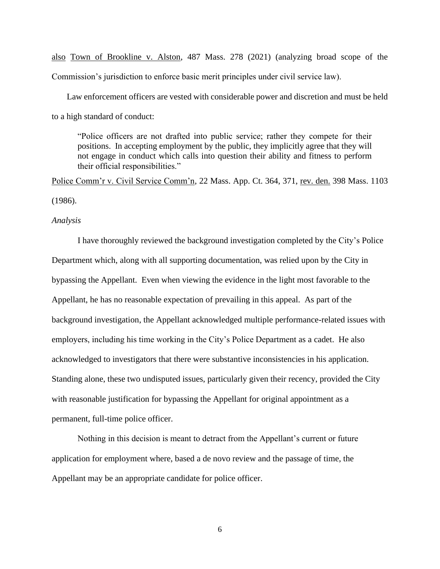also Town of Brookline v. Alston, 487 Mass. 278 (2021) (analyzing broad scope of the Commission's jurisdiction to enforce basic merit principles under civil service law).

 Law enforcement officers are vested with considerable power and discretion and must be held to a high standard of conduct:

"Police officers are not drafted into public service; rather they compete for their positions. In accepting employment by the public, they implicitly agree that they will not engage in conduct which calls into question their ability and fitness to perform their official responsibilities."

Police Comm'r v. Civil Service Comm'n, 22 Mass. App. Ct. 364, 371, rev. den. 398 Mass. 1103 (1986).

#### *Analysis*

I have thoroughly reviewed the background investigation completed by the City's Police Department which, along with all supporting documentation, was relied upon by the City in bypassing the Appellant. Even when viewing the evidence in the light most favorable to the Appellant, he has no reasonable expectation of prevailing in this appeal. As part of the background investigation, the Appellant acknowledged multiple performance-related issues with employers, including his time working in the City's Police Department as a cadet. He also acknowledged to investigators that there were substantive inconsistencies in his application. Standing alone, these two undisputed issues, particularly given their recency, provided the City with reasonable justification for bypassing the Appellant for original appointment as a permanent, full-time police officer.

Nothing in this decision is meant to detract from the Appellant's current or future application for employment where, based a de novo review and the passage of time, the Appellant may be an appropriate candidate for police officer.

6